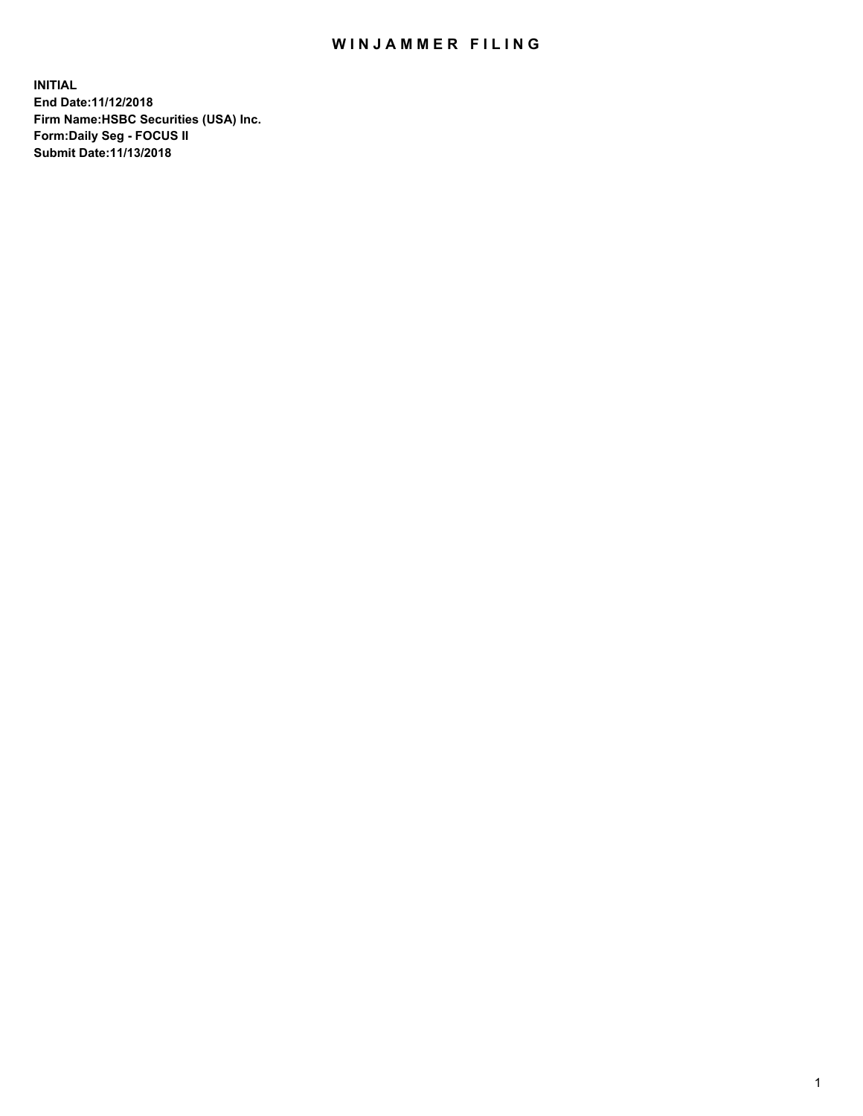## WIN JAMMER FILING

**INITIAL End Date:11/12/2018 Firm Name:HSBC Securities (USA) Inc. Form:Daily Seg - FOCUS II Submit Date:11/13/2018**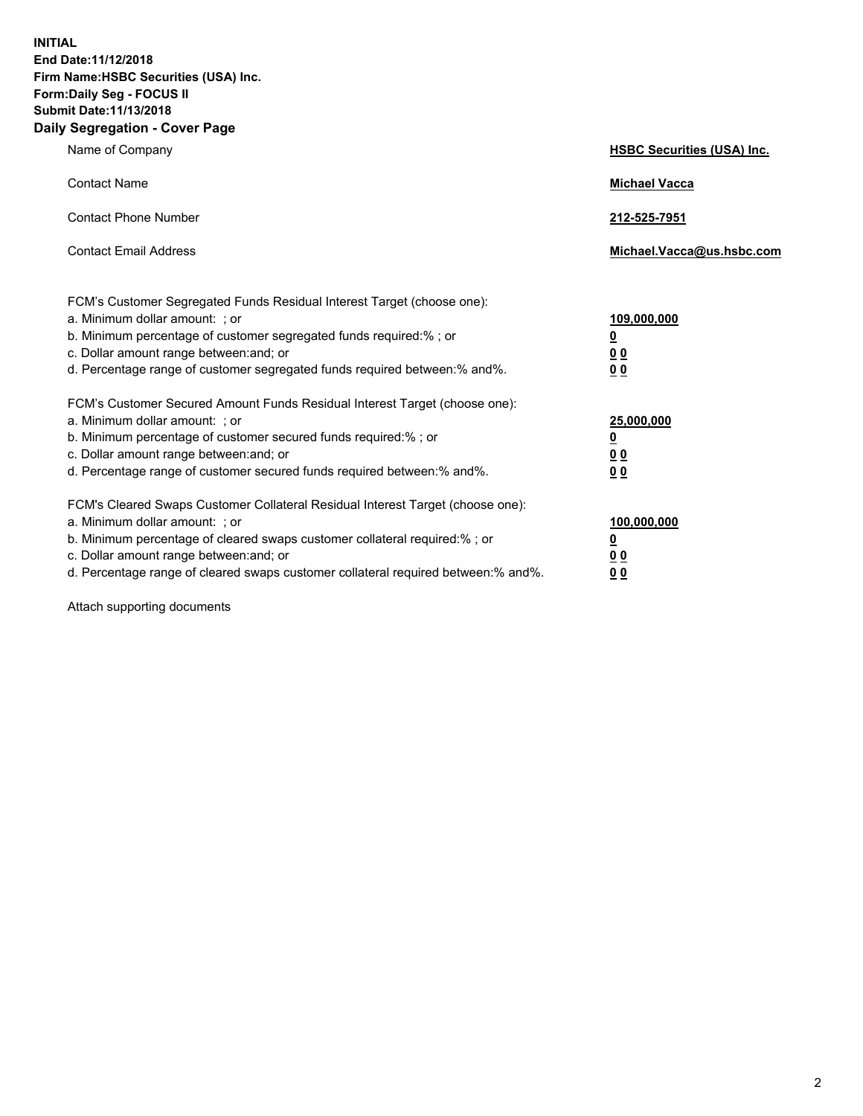**INITIAL End Date:11/12/2018 Firm Name:HSBC Securities (USA) Inc. Form:Daily Seg - FOCUS II Submit Date:11/13/2018 Daily Segregation - Cover Page**

| Name of Company                                                                                                                                                                                                                                                                                                                | <b>HSBC Securities (USA) Inc.</b>                                          |
|--------------------------------------------------------------------------------------------------------------------------------------------------------------------------------------------------------------------------------------------------------------------------------------------------------------------------------|----------------------------------------------------------------------------|
| <b>Contact Name</b>                                                                                                                                                                                                                                                                                                            | <b>Michael Vacca</b>                                                       |
| <b>Contact Phone Number</b>                                                                                                                                                                                                                                                                                                    | 212-525-7951                                                               |
| <b>Contact Email Address</b>                                                                                                                                                                                                                                                                                                   | Michael.Vacca@us.hsbc.com                                                  |
| FCM's Customer Segregated Funds Residual Interest Target (choose one):<br>a. Minimum dollar amount: ; or<br>b. Minimum percentage of customer segregated funds required:% ; or<br>c. Dollar amount range between: and; or<br>d. Percentage range of customer segregated funds required between:% and%.                         | 109,000,000<br>$\overline{\mathbf{0}}$<br>0 <sub>0</sub><br>0 <sub>0</sub> |
| FCM's Customer Secured Amount Funds Residual Interest Target (choose one):<br>a. Minimum dollar amount: ; or<br>b. Minimum percentage of customer secured funds required:% ; or<br>c. Dollar amount range between: and; or<br>d. Percentage range of customer secured funds required between:% and%.                           | 25,000,000<br>$\underline{\mathbf{0}}$<br>0 <sub>0</sub><br>0 <sub>0</sub> |
| FCM's Cleared Swaps Customer Collateral Residual Interest Target (choose one):<br>a. Minimum dollar amount: ; or<br>b. Minimum percentage of cleared swaps customer collateral required:% ; or<br>c. Dollar amount range between: and; or<br>d. Percentage range of cleared swaps customer collateral required between:% and%. | 100,000,000<br>$\overline{\mathbf{0}}$<br>0 <sup>0</sup><br>0 <sub>0</sub> |

Attach supporting documents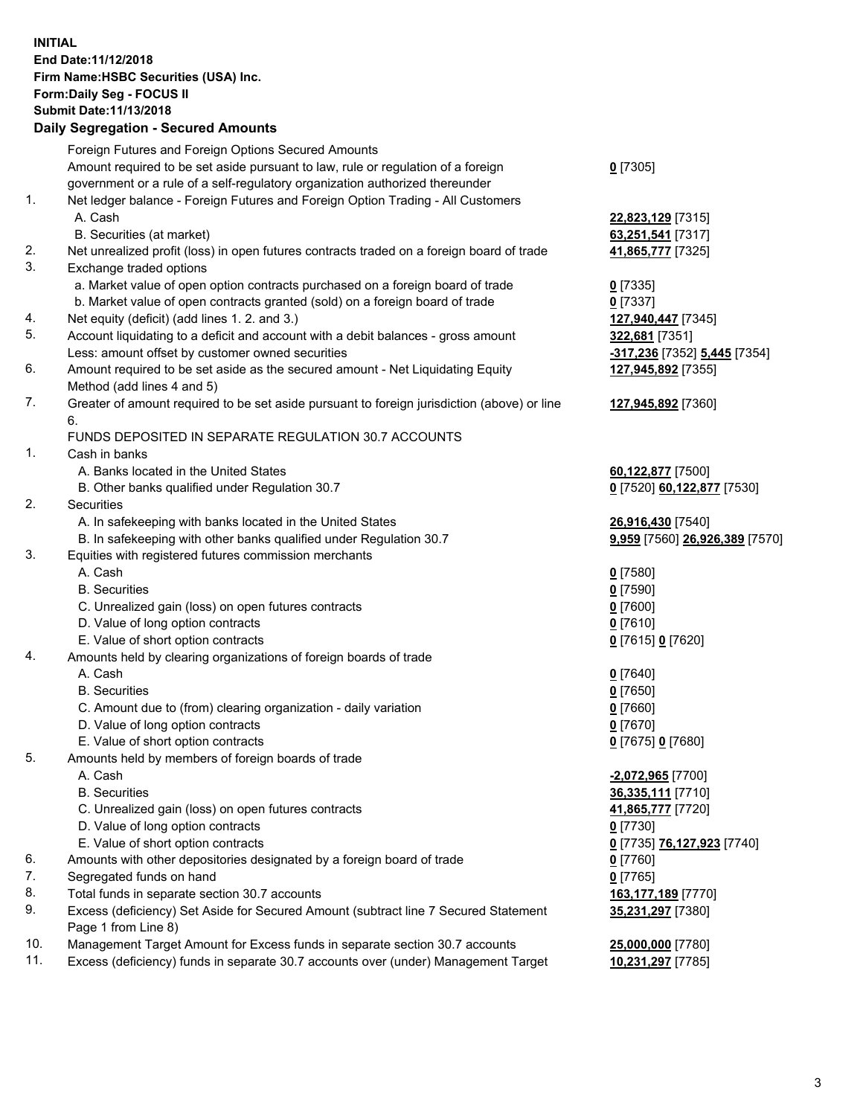**INITIAL End Date:11/12/2018 Firm Name:HSBC Securities (USA) Inc. Form:Daily Seg - FOCUS II Submit Date:11/13/2018 Daily Segregation - Secured Amounts** Foreign Futures and Foreign Options Secured Amounts Amount required to be set aside pursuant to law, rule or regulation of a foreign government or a rule of a self-regulatory organization authorized thereunder **0** [7305] 1. Net ledger balance - Foreign Futures and Foreign Option Trading - All Customers A. Cash **22,823,129** [7315] B. Securities (at market) **63,251,541** [7317] 2. Net unrealized profit (loss) in open futures contracts traded on a foreign board of trade **41,865,777** [7325] 3. Exchange traded options a. Market value of open option contracts purchased on a foreign board of trade **0** [7335] b. Market value of open contracts granted (sold) on a foreign board of trade **0** [7337] 4. Net equity (deficit) (add lines 1. 2. and 3.) **127,940,447** [7345] 5. Account liquidating to a deficit and account with a debit balances - gross amount **322,681** [7351] Less: amount offset by customer owned securities **-317,236** [7352] **5,445** [7354] 6. Amount required to be set aside as the secured amount - Net Liquidating Equity Method (add lines 4 and 5) **127,945,892** [7355] 7. Greater of amount required to be set aside pursuant to foreign jurisdiction (above) or line 6. **127,945,892** [7360] FUNDS DEPOSITED IN SEPARATE REGULATION 30.7 ACCOUNTS 1. Cash in banks A. Banks located in the United States **60,122,877** [7500] B. Other banks qualified under Regulation 30.7 **0** [7520] **60,122,877** [7530] 2. Securities A. In safekeeping with banks located in the United States **26,916,430** [7540] B. In safekeeping with other banks qualified under Regulation 30.7 **9,959** [7560] **26,926,389** [7570] 3. Equities with registered futures commission merchants A. Cash **0** [7580] B. Securities **0** [7590] C. Unrealized gain (loss) on open futures contracts **0** [7600] D. Value of long option contracts **0** [7610] E. Value of short option contracts **0** [7615] **0** [7620] 4. Amounts held by clearing organizations of foreign boards of trade A. Cash **0** [7640] B. Securities **0** [7650] C. Amount due to (from) clearing organization - daily variation **0** [7660] D. Value of long option contracts **0** [7670] E. Value of short option contracts **0** [7675] **0** [7680] 5. Amounts held by members of foreign boards of trade A. Cash **-2,072,965** [7700] B. Securities **36,335,111** [7710] C. Unrealized gain (loss) on open futures contracts **41,865,777** [7720] D. Value of long option contracts **0** [7730]

- E. Value of short option contracts **0** [7735] **76,127,923** [7740]
- 6. Amounts with other depositories designated by a foreign board of trade **0** [7760]
- 7. Segregated funds on hand **0** [7765]
- 8. Total funds in separate section 30.7 accounts **163,177,189** [7770]
- 9. Excess (deficiency) Set Aside for Secured Amount (subtract line 7 Secured Statement Page 1 from Line 8)
- 10. Management Target Amount for Excess funds in separate section 30.7 accounts **25,000,000** [7780]
- 11. Excess (deficiency) funds in separate 30.7 accounts over (under) Management Target **10,231,297** [7785]

**35,231,297** [7380]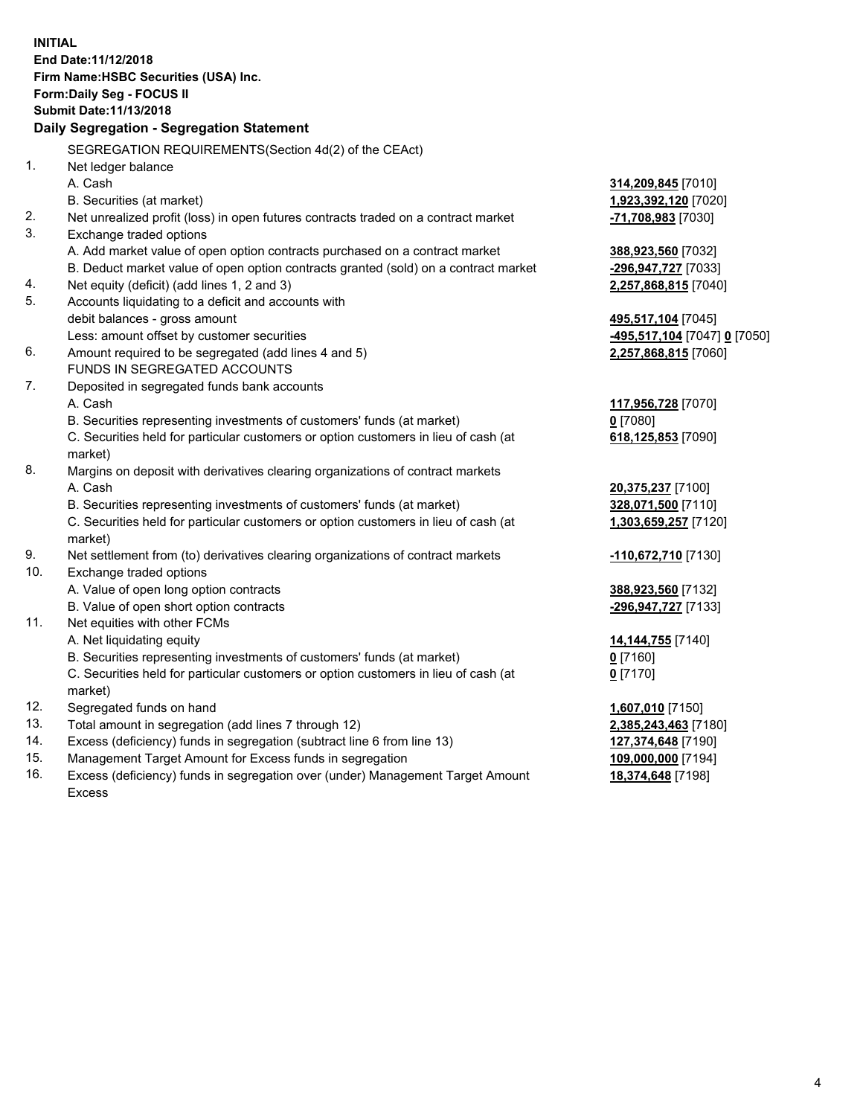**INITIAL End Date:11/12/2018 Firm Name:HSBC Securities (USA) Inc. Form:Daily Seg - FOCUS II Submit Date:11/13/2018 Daily Segregation - Segregation Statement** SEGREGATION REQUIREMENTS(Section 4d(2) of the CEAct) 1. Net ledger balance A. Cash **314,209,845** [7010] B. Securities (at market) **1,923,392,120** [7020] 2. Net unrealized profit (loss) in open futures contracts traded on a contract market **-71,708,983** [7030] 3. Exchange traded options A. Add market value of open option contracts purchased on a contract market **388,923,560** [7032] B. Deduct market value of open option contracts granted (sold) on a contract market **-296,947,727** [7033] 4. Net equity (deficit) (add lines 1, 2 and 3) **2,257,868,815** [7040] 5. Accounts liquidating to a deficit and accounts with debit balances - gross amount **495,517,104** [7045] Less: amount offset by customer securities **-495,517,104** [7047] **0** [7050] 6. Amount required to be segregated (add lines 4 and 5) **2,257,868,815** [7060] FUNDS IN SEGREGATED ACCOUNTS 7. Deposited in segregated funds bank accounts A. Cash **117,956,728** [7070] B. Securities representing investments of customers' funds (at market) **0** [7080] C. Securities held for particular customers or option customers in lieu of cash (at market) **618,125,853** [7090] 8. Margins on deposit with derivatives clearing organizations of contract markets A. Cash **20,375,237** [7100] B. Securities representing investments of customers' funds (at market) **328,071,500** [7110] C. Securities held for particular customers or option customers in lieu of cash (at market) **1,303,659,257** [7120] 9. Net settlement from (to) derivatives clearing organizations of contract markets **-110,672,710** [7130] 10. Exchange traded options A. Value of open long option contracts **388,923,560** [7132] B. Value of open short option contracts **-296,947,727** [7133] 11. Net equities with other FCMs A. Net liquidating equity **14,144,755** [7140] B. Securities representing investments of customers' funds (at market) **0** [7160] C. Securities held for particular customers or option customers in lieu of cash (at market) **0** [7170] 12. Segregated funds on hand **1,607,010** [7150] 13. Total amount in segregation (add lines 7 through 12) **2,385,243,463** [7180] 14. Excess (deficiency) funds in segregation (subtract line 6 from line 13) **127,374,648** [7190] 15. Management Target Amount for Excess funds in segregation **109,000,000** [7194]

16. Excess (deficiency) funds in segregation over (under) Management Target Amount Excess

**18,374,648** [7198]